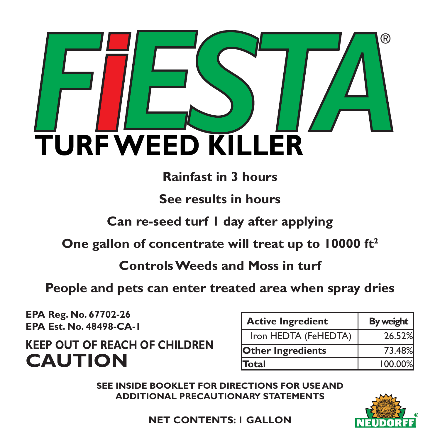

# **Rainfast in 3 hours**

**See results in hours**

**Can re-seed turf 1 day after applying**

**One gallon of concentrate will treat up to 10000 ft2**

**Controls Weeds and Moss in turf** 

**People and pets can enter treated area when spray dries**

**EPA Reg. No. 67702-26 EPA Est. No. 48498-CA-1**

**KEEP OUT OF REACH OF CHILDREN CAUTION** 

| <b>Active Ingredient</b> | By weight |
|--------------------------|-----------|
| Iron HEDTA (FeHEDTA)     | 26.52%    |
| <b>Other Ingredients</b> | 73.48%    |
| <b>Total</b>             | 100.00%   |

**SEE INSIDE BOOKLET FOR DIRECTIONS FOR USE AND ADDITIONAL PRECAUTIONARY STATEMENTS**



**NET CONTENTS: 1 GALLON**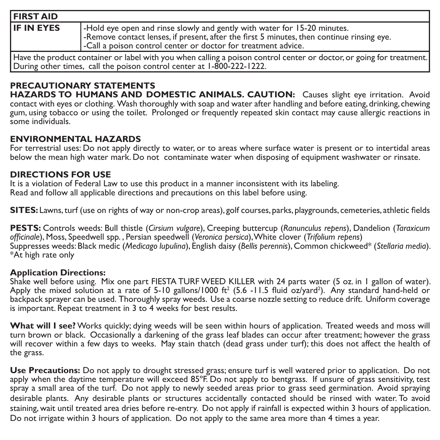| <b>FIRST AID</b>  |                                                                                                                                                                                                                                               |
|-------------------|-----------------------------------------------------------------------------------------------------------------------------------------------------------------------------------------------------------------------------------------------|
| <b>IF IN EYES</b> | -Hold eye open and rinse slowly and gently with water for 15-20 minutes.<br>-Remove contact lenses, if present, after the first 5 minutes, then continue rinsing eye.<br><b>-Call a poison control center or doctor for treatment advice.</b> |
|                   | Have the product container or label with you when calling a poison control center or doctor, or going for treatment.<br>During other times, call the poison control center at 1-800-222-1222.                                                 |

**PRECAUTIONARY STATEMENTS HAZARDS TO HUMANS AND DOMESTIC ANIMALS. CAUTION:** Causes slight eye irritation. Avoid contact with eyes or clothing. Wash thoroughly with soap and water after handling and before eating, drinking, chewing gum, using tobacco or using the toilet. Prolonged or frequently repeated skin contact may cause allergic reactions in some individuals.

#### **ENVIRONMENTAL HAZARDS**

For terrestrial uses: Do not apply directly to water, or to areas where surface water is present or to intertidal areas below the mean high water mark. Do not contaminate water when disposing of equipment washwater or rinsate.

### **DIRECTIONS FOR USE**

It is a violation of Federal Law to use this product in a manner inconsistent with its labeling. Read and follow all applicable directions and precautions on this label before using.

**SITES:** Lawns, turf (use on rights of way or non-crop areas), golf courses, parks, playgrounds, cemeteries, athletic fields

**PESTS:** Controls weeds: Bull thistle (*Cirsium vulgare*), Creeping buttercup (*Ranunculus repens*), Dandelion (*Taraxicum officinale*), Moss, Speedwell spp. , Persian speedwell (*Veronica persica*), White clover (*Trifolium repens*) Suppresses weeds: Black medic (*Medicago lupulina*), English daisy (*Bellis perennis*), Common chickweed\* (*Stellaria media*). \*At high rate only

#### **Application Directions:**

Shake well before using. Mix one part FIESTA TURF WEED KILLER with 24 parts water (5 oz. in 1 gallon of water). Apply the mixed solution at a rate of 5-10 gallons/1000 ft<sup>2</sup> (5.6 -11.5 fluid oz/yard<sup>2</sup>). Any standard hand-held or backpack sprayer can be used. Thoroughly spray weeds. Use a coarse nozzle setting to reduce drift. Uniform coverage is important. Repeat treatment in 3 to 4 weeks for best results.

**What will I see?** Works quickly; dying weeds will be seen within hours of application. Treated weeds and moss will turn brown or black. Occasionally a darkening of the grass leaf blades can occur after treatment; however the grass will recover within a few days to weeks. May stain thatch (dead grass under turf); this does not affect the health of the grass.

**Use Precautions:** Do not apply to drought stressed grass; ensure turf is well watered prior to application. Do not apply when the daytime temperature will exceed 85°F. Do not apply to bentgrass. If unsure of grass sensitivity, test spray a small area of the turf. Do not apply to newly seeded areas prior to grass seed germination. Avoid spraying desirable plants. Any desirable plants or structures accidentally contacted should be rinsed with water. To avoid staining, wait until treated area dries before re-entry. Do not apply if rainfall is expected within 3 hours of application. Do not irrigate within 3 hours of application. Do not apply to the same area more than 4 times a year.